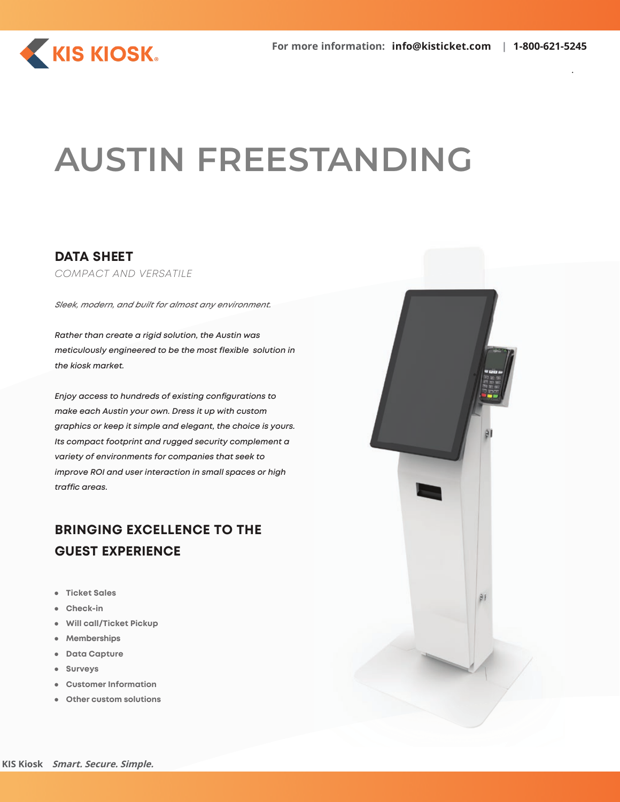

# **AUSTIN FREESTANDING**

### **DATA SHEET**

*COMPACT AND VERSATILE*

*Sleek, modern, and built for almost any environment.*

*Rather than create a rigid solution, the Austin was meticulously engineered to be the most flexible solution in the kiosk market.*

*Enjoy access to hundreds of existing configurations to make each Austin your own. Dress it up with custom graphics or keep it simple and elegant, the choice is yours. Its compact footprint and rugged security complement a variety of environments for companies that seek to improve ROI and user interaction in small spaces or high traffic areas.*

## **BRINGING EXCELLENCE TO THE GUEST EXPERIENCE**

- **Ticket Sales**
- **Check-in**
- **Will call/Ticket Pickup**
- **Memberships**
- **Data Capture**
- **Surveys**
- **Customer Information**
- **Other custom solutions**

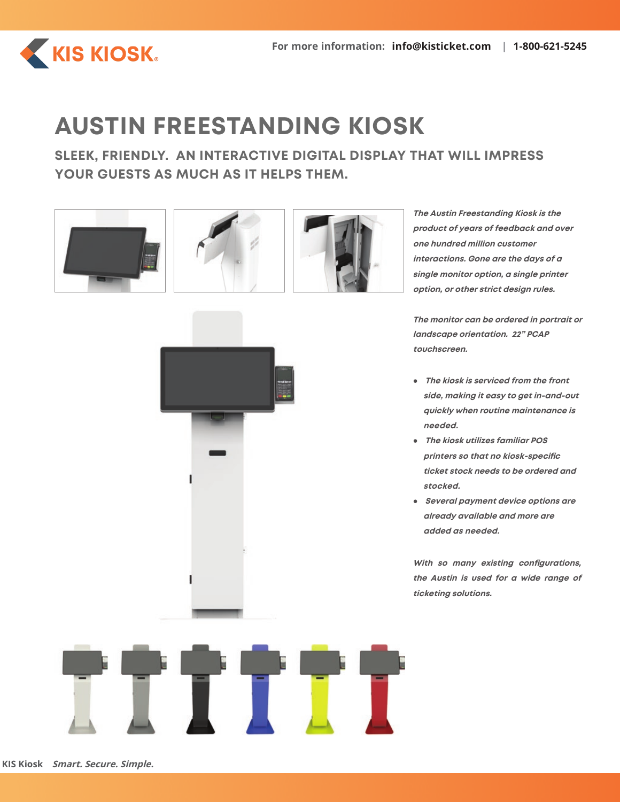

# **AUSTIN FREESTANDING KIOSK**

**SLEEK, FRIENDLY. AN INTERACTIVE DIGITAL DISPLAY THAT WILL IMPRESS YOUR GUESTS AS MUCH AS IT HELPS THEM.**









**The Austin Freestanding Kiosk is the product of years of feedback and over one hundred million customer interactions. Gone are the days of a single monitor option, a single printer option, or other strict design rules.**

**The monitor can be ordered in portrait or landscape orientation. 22" PCAP touchscreen.**

- **The kiosk is serviced from the front side, making it easy to get in-and-out quickly when routine maintenance is needed.**
- **The kiosk utilizes familiar POS printers so that no kiosk-specific ticket stock needs to be ordered and stocked.**
- **Several payment device options are already available and more are added as needed.**

**With so many existing configurations, the Austin is used for a wide range of ticketing solutions.**